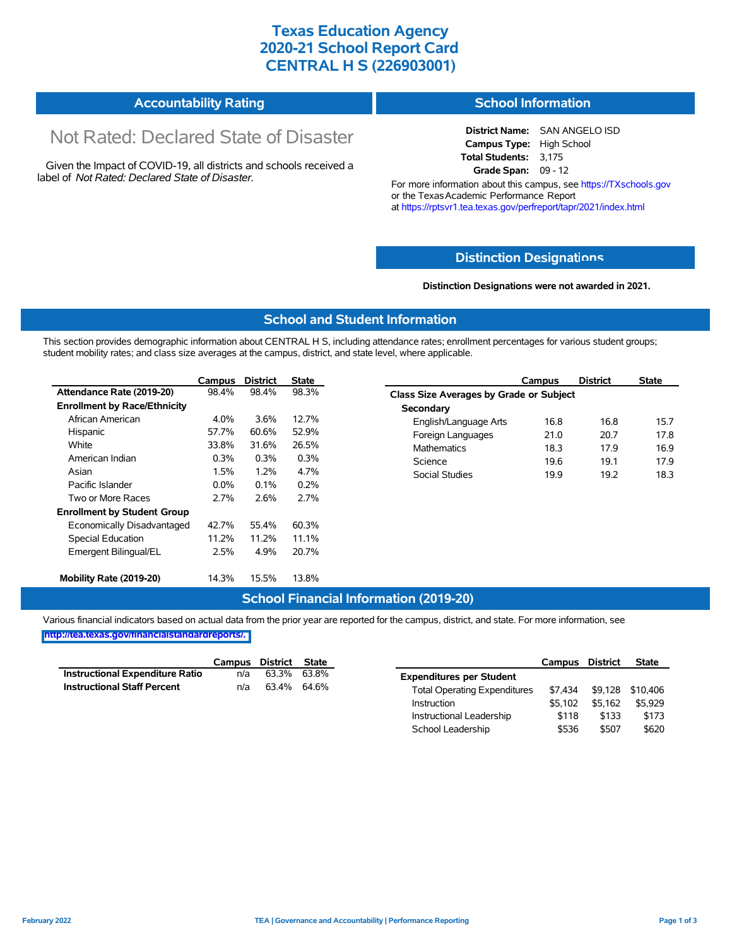## **Texas Education Agency 2020-21 School Report Card CENTRAL H S (226903001)**

#### **Accountability Rating School Information**

## Not Rated: Declared State of Disaster

Given the Impact of COVID-19, all districts and schools received a label of *Not Rated: Declared State of Disaster.*

# **District Name:** SAN ANGELO ISD

**Campus Type:** High School **Total Students:** 3,175 **Grade Span:** 09 - 12

For more information about this campus, see https://TXschools.gov or the Texas Academic Performance Report at https://rptsvr1.tea.texas.gov/perfreport/tapr/2021/index.html

#### **Distinction Designat[ions](https://TXschools.gov)**

**Distinction Designations were not awarded in 2021.**

School Leadership  $$536$  \$507 \$620

#### **School and Student Information**

This section provides demographic information about CENTRAL H S, including attendance rates; enrollment percentages for various student groups; student mobility rates; and class size averages at the campus, district, and state level, where applicable.

|                                     | Campus  | <b>District</b> | <b>State</b> | Campus                        | <b>District</b>                                | <b>State</b> |  |  |  |  |  |
|-------------------------------------|---------|-----------------|--------------|-------------------------------|------------------------------------------------|--------------|--|--|--|--|--|
| Attendance Rate (2019-20)           | 98.4%   | 98.4%           | 98.3%        |                               | <b>Class Size Averages by Grade or Subject</b> |              |  |  |  |  |  |
| <b>Enrollment by Race/Ethnicity</b> |         |                 |              | Secondary                     |                                                |              |  |  |  |  |  |
| African American                    | 4.0%    | 3.6%            | 12.7%        | 16.8<br>English/Language Arts | 16.8                                           |              |  |  |  |  |  |
| Hispanic                            | 57.7%   | 60.6%           | 52.9%        | Foreign Languages<br>21.0     | 20.7                                           |              |  |  |  |  |  |
| White                               | 33.8%   | 31.6%           | 26.5%        | <b>Mathematics</b><br>18.3    | 17.9                                           |              |  |  |  |  |  |
| American Indian                     | 0.3%    | 0.3%            | 0.3%         | Science<br>19.6               | 19.1                                           |              |  |  |  |  |  |
| Asian                               | 1.5%    | 1.2%            | 4.7%         | Social Studies<br>19.9        | 19.2                                           |              |  |  |  |  |  |
| Pacific Islander                    | $0.0\%$ | 0.1%            | 0.2%         |                               |                                                |              |  |  |  |  |  |
| Two or More Races                   | 2.7%    | 2.6%            | 2.7%         |                               |                                                |              |  |  |  |  |  |
| <b>Enrollment by Student Group</b>  |         |                 |              |                               |                                                |              |  |  |  |  |  |
| Economically Disadvantaged          | 42.7%   | 55.4%           | 60.3%        |                               |                                                |              |  |  |  |  |  |
| Special Education                   | 11.2%   | 11.2%           | 11.1%        |                               |                                                |              |  |  |  |  |  |
| Emergent Bilingual/EL               | 2.5%    | 4.9%            | 20.7%        |                               |                                                |              |  |  |  |  |  |
| Mobility Rate (2019-20)             | 14.3%   | 15.5%           | 13.8%        |                               |                                                |              |  |  |  |  |  |

#### **School Financial Information (2019-20)**

Various financial indicators based on actual data from the prior year are reported for the campus, district, and state. For more information, see

**[http://tea.texas.gov/financialstandardreports/.](http://tea.texas.gov/financialstandardreports/)**

|                                        | Campus | <b>District</b> | <b>State</b> |                                     | Campus  | <b>District</b> | <b>State</b>     |
|----------------------------------------|--------|-----------------|--------------|-------------------------------------|---------|-----------------|------------------|
| <b>Instructional Expenditure Ratio</b> | n/a    | 63.3%           | 63.8%        | <b>Expenditures per Student</b>     |         |                 |                  |
| <b>Instructional Staff Percent</b>     | n/a    | 63.4%           | 64.6%        | <b>Total Operating Expenditures</b> | \$7.434 |                 | \$9,128 \$10,406 |
|                                        |        |                 |              | Instruction                         | \$5.102 | \$5.162         | \$5,929          |
|                                        |        |                 |              | Instructional Leadership            | \$118   | \$133           | \$173            |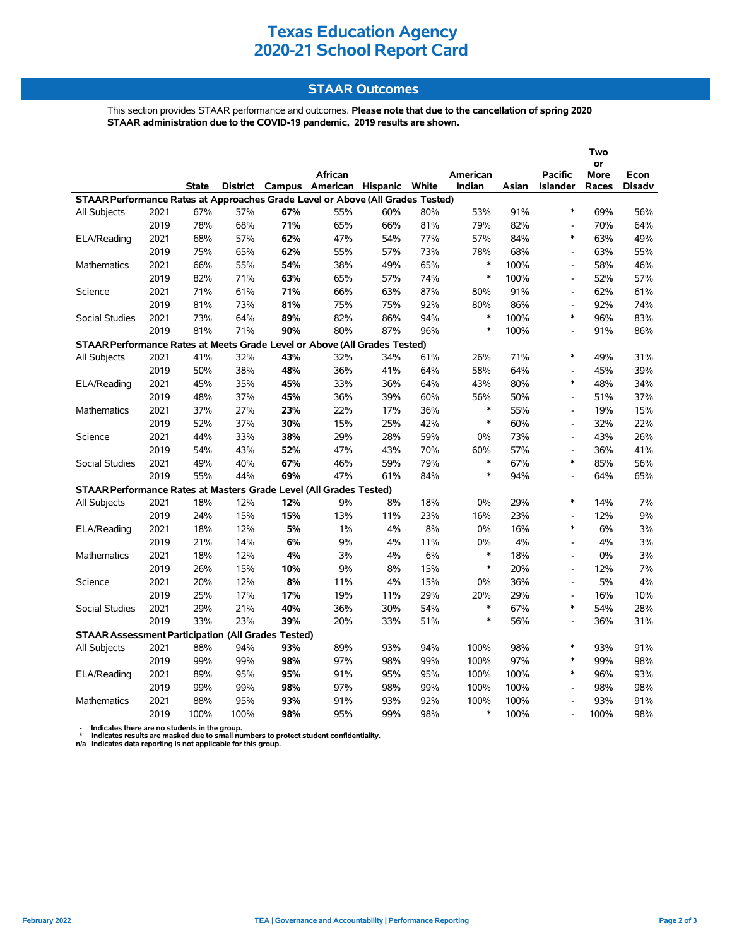## **Texas Education Agency 2020-21 School Report Card**

## **STAAR Outcomes**

This section provides STAAR performance and outcomes. **Please note that due to the cancellation of spring 2020 STAAR administration due to the COVID-19 pandemic, 2019 results are shown.**

|                                                                                |      |              |          |     |                                |     |     |          |       | Two<br>or                |             |               |
|--------------------------------------------------------------------------------|------|--------------|----------|-----|--------------------------------|-----|-----|----------|-------|--------------------------|-------------|---------------|
|                                                                                |      |              |          |     | African                        |     |     | American |       | <b>Pacific</b>           | <b>More</b> | Econ          |
|                                                                                |      | <b>State</b> | District |     | Campus American Hispanic White |     |     | Indian   | Asian | Islander                 | Races       | <b>Disadv</b> |
| STAAR Performance Rates at Approaches Grade Level or Above (All Grades Tested) |      |              |          |     |                                |     |     |          |       |                          |             |               |
| All Subjects                                                                   | 2021 | 67%          | 57%      | 67% | 55%                            | 60% | 80% | 53%      | 91%   | $\ast$                   | 69%         | 56%           |
|                                                                                | 2019 | 78%          | 68%      | 71% | 65%                            | 66% | 81% | 79%      | 82%   | $\overline{\phantom{a}}$ | 70%         | 64%           |
| ELA/Reading                                                                    | 2021 | 68%          | 57%      | 62% | 47%                            | 54% | 77% | 57%      | 84%   | $\ast$                   | 63%         | 49%           |
|                                                                                | 2019 | 75%          | 65%      | 62% | 55%                            | 57% | 73% | 78%      | 68%   | $\overline{a}$           | 63%         | 55%           |
| Mathematics                                                                    | 2021 | 66%          | 55%      | 54% | 38%                            | 49% | 65% | $\ast$   | 100%  | $\overline{a}$           | 58%         | 46%           |
|                                                                                | 2019 | 82%          | 71%      | 63% | 65%                            | 57% | 74% | $\ast$   | 100%  | $\overline{\phantom{a}}$ | 52%         | 57%           |
| Science                                                                        | 2021 | 71%          | 61%      | 71% | 66%                            | 63% | 87% | 80%      | 91%   | $\blacksquare$           | 62%         | 61%           |
|                                                                                | 2019 | 81%          | 73%      | 81% | 75%                            | 75% | 92% | 80%      | 86%   | $\overline{a}$           | 92%         | 74%           |
| <b>Social Studies</b>                                                          | 2021 | 73%          | 64%      | 89% | 82%                            | 86% | 94% | $\ast$   | 100%  | $\ast$                   | 96%         | 83%           |
|                                                                                | 2019 | 81%          | 71%      | 90% | 80%                            | 87% | 96% | $\ast$   | 100%  | $\overline{a}$           | 91%         | 86%           |
| STAAR Performance Rates at Meets Grade Level or Above (All Grades Tested)      |      |              |          |     |                                |     |     |          |       |                          |             |               |
| All Subjects                                                                   | 2021 | 41%          | 32%      | 43% | 32%                            | 34% | 61% | 26%      | 71%   | $\ast$                   | 49%         | 31%           |
|                                                                                | 2019 | 50%          | 38%      | 48% | 36%                            | 41% | 64% | 58%      | 64%   | $\overline{\phantom{a}}$ | 45%         | 39%           |
| ELA/Reading                                                                    | 2021 | 45%          | 35%      | 45% | 33%                            | 36% | 64% | 43%      | 80%   | $\ast$                   | 48%         | 34%           |
|                                                                                | 2019 | 48%          | 37%      | 45% | 36%                            | 39% | 60% | 56%      | 50%   | $\blacksquare$           | 51%         | 37%           |
| <b>Mathematics</b>                                                             | 2021 | 37%          | 27%      | 23% | 22%                            | 17% | 36% | $\ast$   | 55%   | $\overline{\phantom{a}}$ | 19%         | 15%           |
|                                                                                | 2019 | 52%          | 37%      | 30% | 15%                            | 25% | 42% | $\ast$   | 60%   | $\overline{\phantom{a}}$ | 32%         | 22%           |
| Science                                                                        | 2021 | 44%          | 33%      | 38% | 29%                            | 28% | 59% | 0%       | 73%   | $\overline{a}$           | 43%         | 26%           |
|                                                                                | 2019 | 54%          | 43%      | 52% | 47%                            | 43% | 70% | 60%      | 57%   | $\overline{\phantom{a}}$ | 36%         | 41%           |
| <b>Social Studies</b>                                                          | 2021 | 49%          | 40%      | 67% | 46%                            | 59% | 79% | $\ast$   | 67%   | $\ast$                   | 85%         | 56%           |
|                                                                                | 2019 | 55%          | 44%      | 69% | 47%                            | 61% | 84% | $\ast$   | 94%   | $\overline{a}$           | 64%         | 65%           |
| STAAR Performance Rates at Masters Grade Level (All Grades Tested)             |      |              |          |     |                                |     |     |          |       |                          |             |               |
| All Subjects                                                                   | 2021 | 18%          | 12%      | 12% | 9%                             | 8%  | 18% | 0%       | 29%   | $\ast$                   | 14%         | 7%            |
|                                                                                | 2019 | 24%          | 15%      | 15% | 13%                            | 11% | 23% | 16%      | 23%   | $\overline{a}$           | 12%         | 9%            |
| ELA/Reading                                                                    | 2021 | 18%          | 12%      | 5%  | $1\%$                          | 4%  | 8%  | 0%       | 16%   | $\ast$                   | 6%          | 3%            |
|                                                                                | 2019 | 21%          | 14%      | 6%  | 9%                             | 4%  | 11% | 0%       | 4%    | $\blacksquare$           | 4%          | 3%            |
| <b>Mathematics</b>                                                             | 2021 | 18%          | 12%      | 4%  | 3%                             | 4%  | 6%  | $\ast$   | 18%   | $\blacksquare$           | 0%          | 3%            |
|                                                                                | 2019 | 26%          | 15%      | 10% | 9%                             | 8%  | 15% | $\ast$   | 20%   | $\blacksquare$           | 12%         | 7%            |
| Science                                                                        | 2021 | 20%          | 12%      | 8%  | 11%                            | 4%  | 15% | 0%       | 36%   | $\overline{\phantom{a}}$ | 5%          | 4%            |
|                                                                                | 2019 | 25%          | 17%      | 17% | 19%                            | 11% | 29% | 20%      | 29%   | $\overline{\phantom{a}}$ | 16%         | 10%           |
| <b>Social Studies</b>                                                          | 2021 | 29%          | 21%      | 40% | 36%                            | 30% | 54% | $\ast$   | 67%   | $\ast$                   | 54%         | 28%           |
|                                                                                | 2019 | 33%          | 23%      | 39% | 20%                            | 33% | 51% | $\ast$   | 56%   | $\overline{a}$           | 36%         | 31%           |
| <b>STAAR Assessment Participation (All Grades Tested)</b>                      |      |              |          |     |                                |     |     |          |       |                          |             |               |
| All Subjects                                                                   | 2021 | 88%          | 94%      | 93% | 89%                            | 93% | 94% | 100%     | 98%   | $\ast$                   | 93%         | 91%           |
|                                                                                | 2019 | 99%          | 99%      | 98% | 97%                            | 98% | 99% | 100%     | 97%   | $\ast$                   | 99%         | 98%           |
| ELA/Reading                                                                    | 2021 | 89%          | 95%      | 95% | 91%                            | 95% | 95% | 100%     | 100%  | $\ast$                   | 96%         | 93%           |
|                                                                                | 2019 | 99%          | 99%      | 98% | 97%                            | 98% | 99% | 100%     | 100%  | $\overline{a}$           | 98%         | 98%           |
| Mathematics                                                                    | 2021 | 88%          | 95%      | 93% | 91%                            | 93% | 92% | 100%     | 100%  |                          | 93%         | 91%           |
|                                                                                | 2019 | 100%         | 100%     | 98% | 95%                            | 99% | 98% | $\ast$   | 100%  | $\overline{a}$           | 100%        | 98%           |

 **- Indicates there are no students in the group. \* Indicates results are masked due to small numbers to protect student confidentiality.**

**n/a Indicates data reporting is not applicable for this group.**